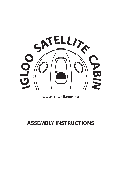

**www.icewall.com.au**

# **ASSEMBLY INSTRUCTIONS**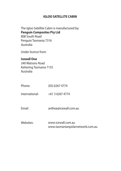## **IGLOO SATELLITE CABIN**

The Igloo Satellite Cabin is manufactured by: **Penguin Composites Pty Ltd**  808 South Road Penguin Tasmania 7316 Australia

Under licence from:

# **Icewall One**

240 Watsons Road Kettering Tasmania 7155 Australia

Phone:(03)6267 4774

International: +61 3 6267 4774

Email: anthea@icewall.com.au

Websites: www.icewall.com.auwww.tasmanianpolarnetwork.com.au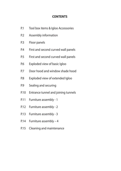## **CONTENTS**

- P.1 Tool box items & Igloo Accessories
- P.2 Assembly information
- P.3 Floor panels
- P.4 First and second curved wall panels
- P.5 First and second curved wall panels
- P.6 Exploded view of basic Igloo
- P.7 Door hood and window shade hood
- P.8 Exploded view of extended Igloo
- P.9 Sealing and securing
- P.10 Entrance tunnel and joining tunnels
- P.11 Furniture assembly 1
- P.12 Furniture assembly 2
- P.13 Furniture assembly 3
- P.14 Furniture assembly 4
- P.15 Cleaning and maintenance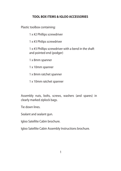# **TOOL BOX ITEMS & IGLOO ACCESSORIES**

Plastic toolbox containing:

1 x #2 Phillips screwdriver

1 x #3 Philips screwdriver

1 x #3 Phillips screwdriver with a bend in the shaft and pointed end (podger)

1 x 8mm spanner

1 x 10mm spanner

1 x 8mm ratchet spanner

1 x 10mm ratchet spanner

Assembly nuts, bolts, screws, washers (and spares) in clearly marked ziplock bags.

Tie down lines.

Sealant and sealant gun.

Igloo Satellite Cabin brochure.

Igloo Satellite Cabin Assembly Instructions brochure.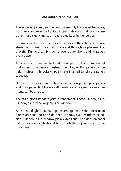# **ASSEMBLY INFORMATION**

The following pages describe how to assembly Igloo Satellite Cabins, both basic and extended units. Fastening devices for different components are clearly marked in zip-locked bags in the toolbox.

Choose a level surface to improve assembly of the cabin and reduce stress both during the construction and through its placement at that site. During assembly, do not over-tighten bolts until all panels are in place.

Although each panel can be lifted by one person, it is recommended that at least two people construct the Igloo, so that panels can be held in place while bolts or screws are inserted to join the panels together.

Decide on the placement of the curved window panels, plain panels and door panel. Bolt holes in all panels are all aligned, so arrangements can be altered.

The basic Igloo's standard panel arrangement is door, window, plain, window, plain, window, plain, and window.

An extended Igloo's standard panel arrangement is door next to an extension panel on one side, then window, plain, window, extensions, window, plain, window, plain, extensions. The extension panel with an escape hatch should be towards the opposite end to the door panel.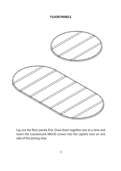# **FLOOR PANELS**



Lay out the floor panels first. Draw them together one at a time and insert the countersunk M6x30 screws into the captive nuts on one side of the joining strip.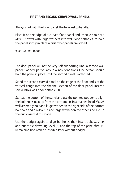# **FIRST AND SECOND CURVED WALL PANELS**

Always start with the Door panel, the heaviest to handle.

Place it on the edge of a curved floor panel and insert 2 pan-head M6x30 screws with large washers into wall-floor boltholes, to hold the panel lightly in place whilst other panels are added.

(see 1, 2 next page)

The door panel will not be very self-supporting until a second wall panel is added, particularly in windy conditions. One person should hold the panel in place until the second panel is attached.

Stand the second curved panel on the edge of the floor and slot the vertical flange into the channel section of the door panel. Insert a screw into a wall-floor bolthole (3).

Start at the bottom of the panel and use the pointed podger to align the bolt holes next up from the bottom (4). Insert a hex-head M6x25 wall assembly bolt and large washer on the right side of the bottom bolt hole and a nylok nut and large washer on the other side. Do up the nut loosely at this stage.

Use the podger again to align boltholes, then insert bolt, washers and nut at tie-down lug level (5) and the top of the panel first. (6) Remaining bolts can be inserted later without podger.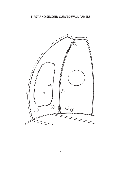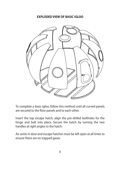#### **EXPLODED VIEW OF BASIC IGLOO**



To complete a basic Igloo, follow this method until all curved panels are secured to the floor panels and to each other.

Insert the top escape hatch, align the pre-drilled boltholes for the hinge and bolt into place. Secure the hatch by turning the two handles at right angles to the hatch.

Air vents in door and escape hatches must be left open at all times to ensure there are no trapped gases.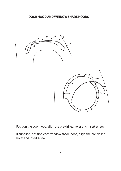

Position the door hood, align the pre-drilled holes and insert screws.

If supplied, position each window shade hood, align the pre-drilled holes and insert screws.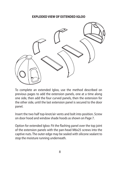#### **EXPLODED VIEW OF EXTENDED IGLOO**



To complete an extended Igloo, use the method described on previous pages to add the extension panels, one at a time along one side, then add the four curved panels, then the extension for the other side, until the last extension panel is secured to the door panel.

Insert the two half top-knot/air vents and bolt into position. Screw on door hood and window shade hoods as shown on Page 7.

Option for extended Igloo: Fit the flashing panel over the top joint of the extension panels with the pan-head M6x25 screws into the captive nuts. The outer edge may be sealed with silicone sealant to stop the moisture running underneath.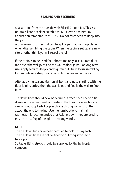# **SEALING AND SECURING**

Seal all joins from the outside with Sikasil-C, supplied. This is a neutral silicone sealant suitable to -60° C, with a minimum application temperature of -10° C. Do not force sealant deep into the join.

A thin, even strip means it can be split open with a sharp blade when disassembling the cabin. When the cabin is set up at a newsite, another thin layer will reseal the join.

If the cabin is to be used for a short time only, use 400mm duct tape over the wall joins and the wall to floor joins. For long term use, apply sealant deeply and tighten nuts fully. If disassembling, loosen nuts so a sharp blade can split the sealant in the join.

After applying sealant, tighten all bolts and nuts, starting with the floor joining strips, then the wall joins and finally the wall to floor joins.

Tie-down lines should now be secured. Attach each line to a tiedown lug, one per panel, and extend the lines to ice anchors orsimilar (not supplied). Loop each line through an anchor then attach the end to the lug. Use the turnbuckle to maintain tautness. It is recommended that ALL tie-down lines are used toensure the safety of the Igloo in strong winds.

## NOTE:

The tie-down lugs have been certified to hold 150 kg each. The tie-down lines are not certified to as lifting strops to a helicopter.

Suitable lifting strops should be supplied by the helicopter company.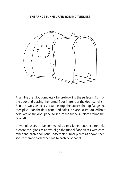#### **ENTRANCE TUNNEL AND JOINING TUNNELS**



Assemble the Igloo completely before levelling the surface in front of the door and placing the tunnel floor in front of the door panel. (1) Join the two side pieces of tunnel together across the top flange (2), then place it on the floor panel and bolt it in place (3). Pre-drilled bolt holes are on the door panel to secure the tunnel in place around the door (4).

If two Igloos are to be connected by two joined entrance tunnels, prepare the Igloos as above, align the tunnel floor pieces with each other and each door panel. Assemble tunnel pieces as above, then secure them to each other and to each door panel.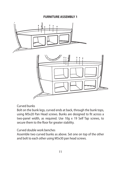

Curved bunks

Bolt on the bunk legs, curved ends at back, through the bunk tops, using M5x20 Pan Head screws. Bunks are designed to fit across a two-panel width, as required. Use 10g x 19 Self Tap screws, to secure them to the floor for greater stability.

Curved double work benches

Assemble two curved bunks as above. Set one on top of the other and bolt to each other using M5x30 pan head screws.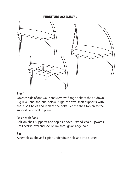

# Shelf

On each side of one wall panel, remove flange bolts at the tie-down lug level and the one below. Align the two shelf supports with these bolt holes and replace the bolts. Set the shelf top on to the supports and bolt in place.

# Desks with flaps

Bolt on shelf supports and top as above. Extend chain upwards until desk is level and secure link through a flange bolt.

# Sink

Assemble as above. Fix pipe under drain hole and into bucket.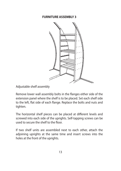

Adjustable shelf assembly

Remove lower wall assembly bolts in the flanges either side of the extension panel where the shelf is to be placed. Set each shelf side to the left, flat side of each flange. Replace the bolts and nuts and tighten.

The horizontal shelf pieces can be placed at different levels and screwed into each side of the uprights. Self-tapping screws can be used to secure the shelf to the floor.

If two shelf units are assembled next to each other, attach the adjoining uprights at the same time and insert screws into the holes at the front of the uprights.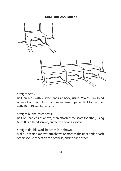



Straight seats

Bolt on legs with curved ends at back, using M5x20 Pan Head screws. Each seat fits within one extension panel. Bolt to the floor with 10g x19 Self Tap screws.

Straight bunks (three seats)

Bolt on seat legs as above, then attach three seats together, using M5x30 Pan Head screws, and to the floor, as above.

Straight double work benches (not shown)

Make up seats as above; attach two or more to the floor and to each other; secure others on top of these, and to each other.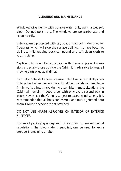# **CLEANING AND MAINTENANCE**

Windows: Wipe gently with potable water only, using a wet soft cloth. Do not polish dry. The windows are polycarbonate and scratch easily.

Exterior: Keep protected with car, boat or wax polish designed for fiberglass which will stop the surface dulling. If surface becomes dull, use mild rubbing back compound and soft clean cloth to restore shine.

Captive nuts should be kept coated with grease to prevent corrosion, especially those outside the Cabin. It is advisable to keep all moving parts oiled at all times.

Each Igloo Satellite Cabin is pre-assembled to ensure that all panels fit together before the goods are dispatched. Panels will need to be firmly worked into shape during assembly. In most situations the Cabin will remain in good order with only every second bolt in place. However, if the Cabin is subject to excess wind speeds, it is recommended that all bolts are inserted and nuts tightened onto them. Ground anchors are not provided

DO NOT USE HARSH ABRASIVES ON INTERIOR OR EXTERIOR SURFACES.

Ensure all packaging is disposed of according to environmental regulations. The Igloo crate, if supplied, can be used for extra storage if remaining on site.